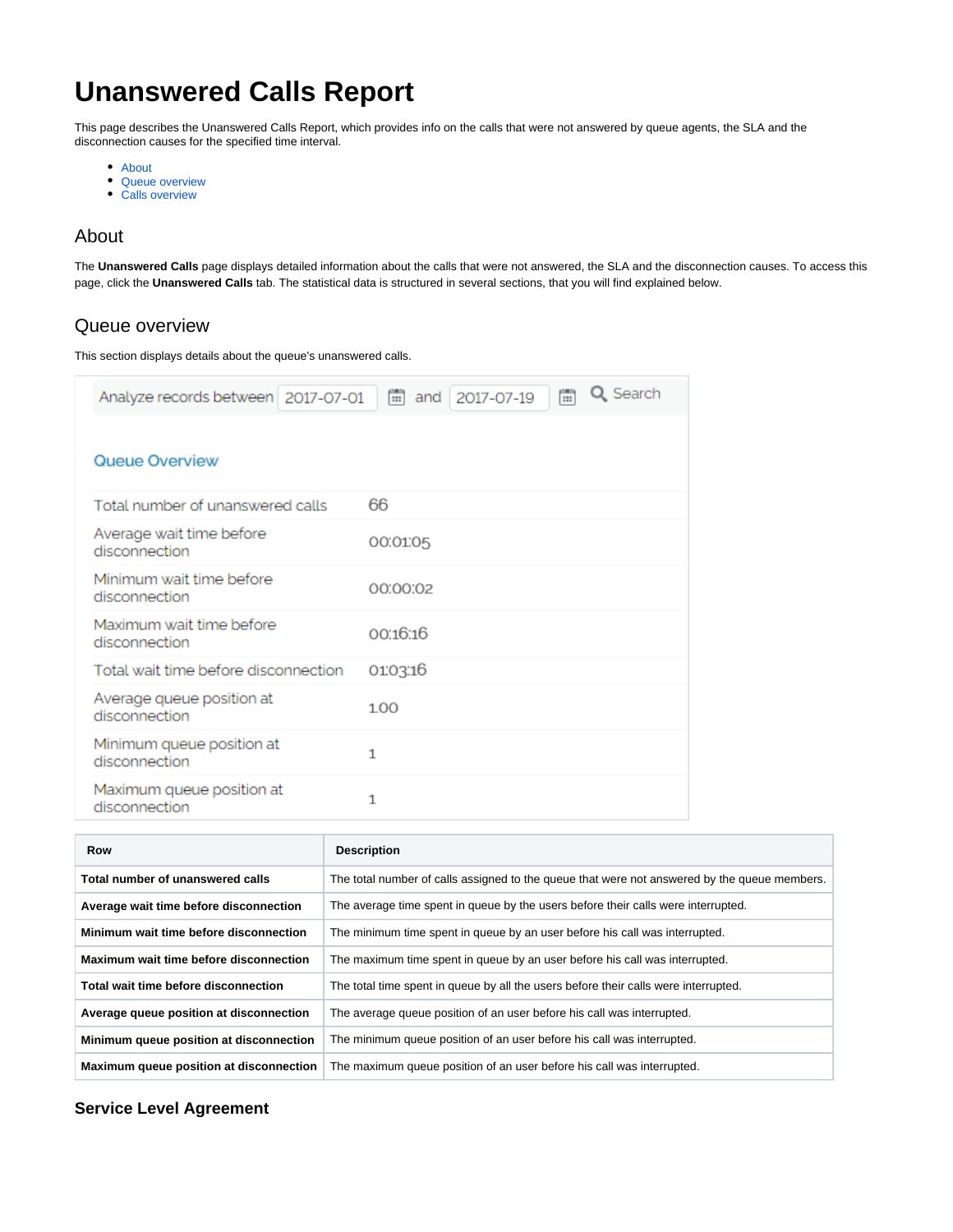# **Unanswered Calls Report**

This page describes the Unanswered Calls Report, which provides info on the calls that were not answered by queue agents, the SLA and the disconnection causes for the specified time interval.

- [About](#page-0-0)
- [Queue overview](#page-0-1)
- [Calls overview](#page-1-0)

## <span id="page-0-0"></span>About

The **Unanswered Calls** page displays detailed information about the calls that were not answered, the SLA and the disconnection causes. To access this page, click the **Unanswered Calls** tab. The statistical data is structured in several sections, that you will find explained below.

## <span id="page-0-1"></span>Queue overview

This section displays details about the queue's unanswered calls.

| Analyze records between   2017-07-01       | Q Search<br>Ħ<br>Ħ<br>2017-07-19<br>and |
|--------------------------------------------|-----------------------------------------|
| Queue Overview                             |                                         |
| Total number of unanswered calls           | 66                                      |
| Average wait time before<br>disconnection  | 00:01:05                                |
| Minimum wait time before<br>disconnection  | 00:00:02                                |
| Maximum wait time before<br>disconnection  | 00:16:16                                |
| Total wait time before disconnection       | 0103:16                                 |
| Average queue position at<br>disconnection | 1.00                                    |
| Minimum queue position at<br>disconnection | $\mathbf{1}$                            |
| Maximum queue position at<br>disconnection | 1                                       |

| <b>Row</b>                              | <b>Description</b>                                                                           |
|-----------------------------------------|----------------------------------------------------------------------------------------------|
| Total number of unanswered calls        | The total number of calls assigned to the queue that were not answered by the queue members. |
| Average wait time before disconnection  | The average time spent in queue by the users before their calls were interrupted.            |
| Minimum wait time before disconnection  | The minimum time spent in queue by an user before his call was interrupted.                  |
| Maximum wait time before disconnection  | The maximum time spent in queue by an user before his call was interrupted.                  |
| Total wait time before disconnection    | The total time spent in queue by all the users before their calls were interrupted.          |
| Average queue position at disconnection | The average queue position of an user before his call was interrupted.                       |
| Minimum queue position at disconnection | The minimum queue position of an user before his call was interrupted.                       |
| Maximum queue position at disconnection | The maximum queue position of an user before his call was interrupted.                       |

## **Service Level Agreement**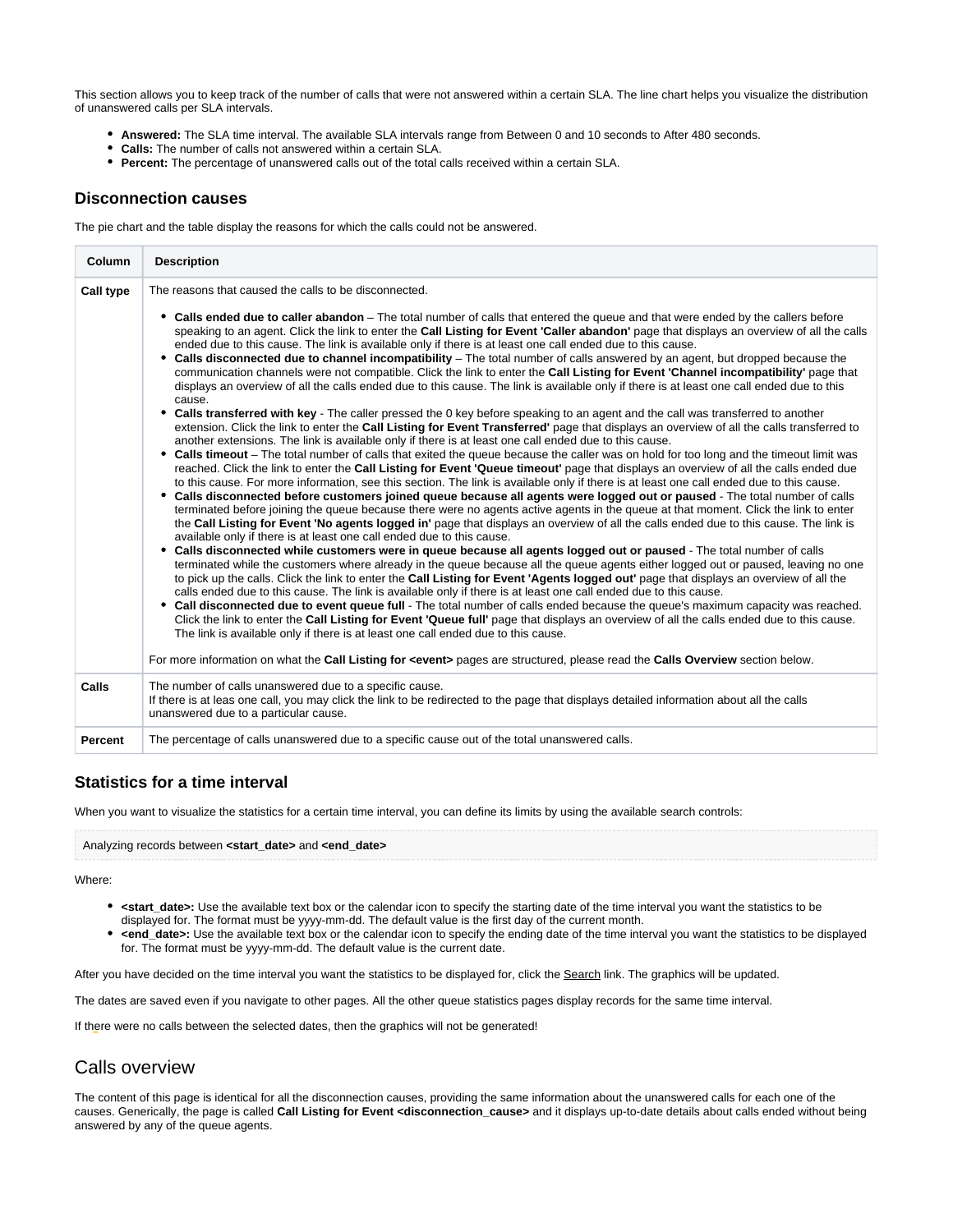This section allows you to keep track of the number of calls that were not answered within a certain SLA. The line chart helps you visualize the distribution of unanswered calls per SLA intervals.

- **Answered:** The SLA time interval. The available SLA intervals range from Between 0 and 10 seconds to After 480 seconds.
- **Calls:** The number of calls not answered within a certain SLA.
- **Percent:** The percentage of unanswered calls out of the total calls received within a certain SLA.

#### **Disconnection causes**

The pie chart and the table display the reasons for which the calls could not be answered.

| Column           | <b>Description</b>                                                                                                                                                                                                                                                                                                                                                                                                                                                                                                                                                                                                                                                                                                                                                                                                                                                                                                                                                                                                                                                                                                                                                                                                                                                                                                                                                                                                                                                                                                                                                                                                                                                                                                                                                                                                                                                                                                                                                                                                                                                                                                                                                                                                                                                                                                                                                                                                                                                                                                                                                                                                                                                                                                                                                                                                                                                                                                                                                                                                                                                                                                                                                                          |
|------------------|---------------------------------------------------------------------------------------------------------------------------------------------------------------------------------------------------------------------------------------------------------------------------------------------------------------------------------------------------------------------------------------------------------------------------------------------------------------------------------------------------------------------------------------------------------------------------------------------------------------------------------------------------------------------------------------------------------------------------------------------------------------------------------------------------------------------------------------------------------------------------------------------------------------------------------------------------------------------------------------------------------------------------------------------------------------------------------------------------------------------------------------------------------------------------------------------------------------------------------------------------------------------------------------------------------------------------------------------------------------------------------------------------------------------------------------------------------------------------------------------------------------------------------------------------------------------------------------------------------------------------------------------------------------------------------------------------------------------------------------------------------------------------------------------------------------------------------------------------------------------------------------------------------------------------------------------------------------------------------------------------------------------------------------------------------------------------------------------------------------------------------------------------------------------------------------------------------------------------------------------------------------------------------------------------------------------------------------------------------------------------------------------------------------------------------------------------------------------------------------------------------------------------------------------------------------------------------------------------------------------------------------------------------------------------------------------------------------------------------------------------------------------------------------------------------------------------------------------------------------------------------------------------------------------------------------------------------------------------------------------------------------------------------------------------------------------------------------------------------------------------------------------------------------------------------------------|
| <b>Call type</b> | The reasons that caused the calls to be disconnected.                                                                                                                                                                                                                                                                                                                                                                                                                                                                                                                                                                                                                                                                                                                                                                                                                                                                                                                                                                                                                                                                                                                                                                                                                                                                                                                                                                                                                                                                                                                                                                                                                                                                                                                                                                                                                                                                                                                                                                                                                                                                                                                                                                                                                                                                                                                                                                                                                                                                                                                                                                                                                                                                                                                                                                                                                                                                                                                                                                                                                                                                                                                                       |
|                  | Calls ended due to caller abandon - The total number of calls that entered the queue and that were ended by the callers before<br>٠<br>speaking to an agent. Click the link to enter the Call Listing for Event 'Caller abandon' page that displays an overview of all the calls<br>ended due to this cause. The link is available only if there is at least one call ended due to this cause.<br>Calls disconnected due to channel incompatibility – The total number of calls answered by an agent, but dropped because the<br>٠<br>communication channels were not compatible. Click the link to enter the Call Listing for Event 'Channel incompatibility' page that<br>displays an overview of all the calls ended due to this cause. The link is available only if there is at least one call ended due to this<br>cause.<br>• Calls transferred with key - The caller pressed the 0 key before speaking to an agent and the call was transferred to another<br>extension. Click the link to enter the Call Listing for Event Transferred' page that displays an overview of all the calls transferred to<br>another extensions. The link is available only if there is at least one call ended due to this cause.<br>• Calls timeout – The total number of calls that exited the queue because the caller was on hold for too long and the timeout limit was<br>reached. Click the link to enter the Call Listing for Event 'Queue timeout' page that displays an overview of all the calls ended due<br>to this cause. For more information, see this section. The link is available only if there is at least one call ended due to this cause.<br>• Calls disconnected before customers joined queue because all agents were logged out or paused - The total number of calls<br>terminated before joining the queue because there were no agents active agents in the queue at that moment. Click the link to enter<br>the Call Listing for Event 'No agents logged in' page that displays an overview of all the calls ended due to this cause. The link is<br>available only if there is at least one call ended due to this cause.<br>• Calls disconnected while customers were in queue because all agents logged out or paused - The total number of calls<br>terminated while the customers where already in the queue because all the queue agents either logged out or paused, leaving no one<br>to pick up the calls. Click the link to enter the Call Listing for Event 'Agents logged out' page that displays an overview of all the<br>calls ended due to this cause. The link is available only if there is at least one call ended due to this cause.<br>• Call disconnected due to event queue full - The total number of calls ended because the queue's maximum capacity was reached.<br>Click the link to enter the Call Listing for Event 'Queue full' page that displays an overview of all the calls ended due to this cause.<br>The link is available only if there is at least one call ended due to this cause.<br>For more information on what the Call Listing for <event> pages are structured, please read the Calls Overview section below.</event> |
| Calls            | The number of calls unanswered due to a specific cause.                                                                                                                                                                                                                                                                                                                                                                                                                                                                                                                                                                                                                                                                                                                                                                                                                                                                                                                                                                                                                                                                                                                                                                                                                                                                                                                                                                                                                                                                                                                                                                                                                                                                                                                                                                                                                                                                                                                                                                                                                                                                                                                                                                                                                                                                                                                                                                                                                                                                                                                                                                                                                                                                                                                                                                                                                                                                                                                                                                                                                                                                                                                                     |
|                  | If there is at leas one call, you may click the link to be redirected to the page that displays detailed information about all the calls<br>unanswered due to a particular cause.                                                                                                                                                                                                                                                                                                                                                                                                                                                                                                                                                                                                                                                                                                                                                                                                                                                                                                                                                                                                                                                                                                                                                                                                                                                                                                                                                                                                                                                                                                                                                                                                                                                                                                                                                                                                                                                                                                                                                                                                                                                                                                                                                                                                                                                                                                                                                                                                                                                                                                                                                                                                                                                                                                                                                                                                                                                                                                                                                                                                           |
| <b>Percent</b>   | The percentage of calls unanswered due to a specific cause out of the total unanswered calls.                                                                                                                                                                                                                                                                                                                                                                                                                                                                                                                                                                                                                                                                                                                                                                                                                                                                                                                                                                                                                                                                                                                                                                                                                                                                                                                                                                                                                                                                                                                                                                                                                                                                                                                                                                                                                                                                                                                                                                                                                                                                                                                                                                                                                                                                                                                                                                                                                                                                                                                                                                                                                                                                                                                                                                                                                                                                                                                                                                                                                                                                                               |

## **Statistics for a time interval**

When you want to visualize the statistics for a certain time interval, you can define its limits by using the available search controls:

Analyzing records between **<start\_date>** and **<end\_date>**

#### Where:

- **start\_date>:** Use the available text box or the calendar icon to specify the starting date of the time interval you want the statistics to be displayed for. The format must be yyyy-mm-dd. The default value is the first day of the current month.
- <end\_date>: Use the available text box or the calendar icon to specify the ending date of the time interval you want the statistics to be displayed for. The format must be yyyy-mm-dd. The default value is the current date.

After you have decided on the time interval you want the statistics to be displayed for, click the Search link. The graphics will be updated.

The dates are saved even if you navigate to other pages. All the other queue statistics pages display records for the same time interval.

If there were no calls between the selected dates, then the graphics will not be generated!

## <span id="page-1-0"></span>Calls overview

The content of this page is identical for all the disconnection causes, providing the same information about the unanswered calls for each one of the causes. Generically, the page is called **Call Listing for Event <disconnection\_cause>** and it displays up-to-date details about calls ended without being answered by any of the queue agents.